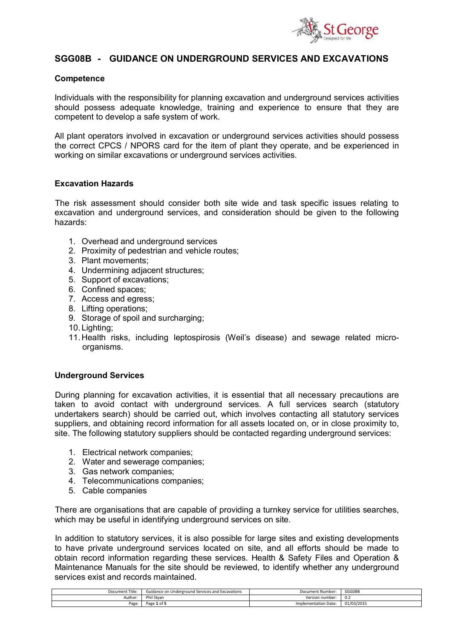

# **SGG08B - GUIDANCE ON UNDERGROUND SERVICES AND EXCAVATIONS**

#### **Competence**

Individuals with the responsibility for planning excavation and underground services activities should possess adequate knowledge, training and experience to ensure that they are competent to develop a safe system of work.

All plant operators involved in excavation or underground services activities should possess the correct CPCS / NPORS card for the item of plant they operate, and be experienced in working on similar excavations or underground services activities.

#### **Excavation Hazards**

The risk assessment should consider both site wide and task specific issues relating to excavation and underground services, and consideration should be given to the following hazards:

- 1. Overhead and underground services
- 2. Proximity of pedestrian and vehicle routes;
- 3. Plant movements;
- 4. Undermining adjacent structures;
- 5. Support of excavations;
- 6. Confined spaces;
- 7. Access and egress;
- 8. Lifting operations;
- 9. Storage of spoil and surcharging;
- 10.Lighting;
- 11.Health risks, including leptospirosis (Weil's disease) and sewage related microorganisms.

#### **Underground Services**

During planning for excavation activities, it is essential that all necessary precautions are taken to avoid contact with underground services. A full services search (statutory undertakers search) should be carried out, which involves contacting all statutory services suppliers, and obtaining record information for all assets located on, or in close proximity to, site. The following statutory suppliers should be contacted regarding underground services:

- 1. Electrical network companies;
- 2. Water and sewerage companies;
- 3. Gas network companies;
- 4. Telecommunications companies;
- 5. Cable companies

There are organisations that are capable of providing a turnkey service for utilities searches, which may be useful in identifying underground services on site.

In addition to statutory services, it is also possible for large sites and existing developments to have private underground services located on site, and all efforts should be made to obtain record information regarding these services. Health & Safety Files and Operation & Maintenance Manuals for the site should be reviewed, to identify whether any underground services exist and records maintained.

| Document Title: | Guidance on Underground Services and Excavations | Document Number:            | SGG08B     |
|-----------------|--------------------------------------------------|-----------------------------|------------|
| Author:         | Phil Stvan                                       | Version<br>: number ו       | 0.2        |
| Page            | Page 1 of 5                                      | <b>Implementation Date:</b> | 01/03/2015 |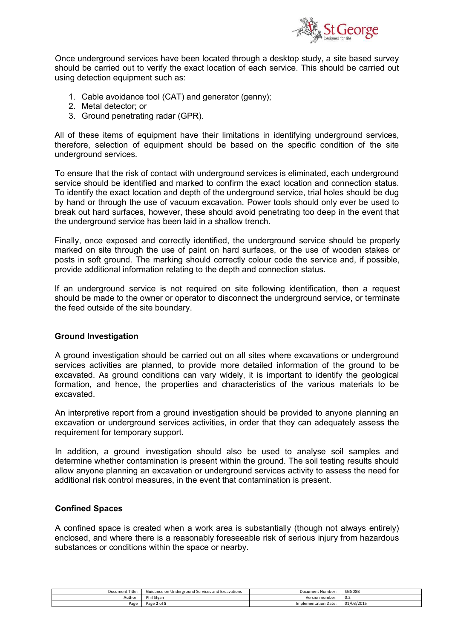

Once underground services have been located through a desktop study, a site based survey should be carried out to verify the exact location of each service. This should be carried out using detection equipment such as:

- 1. Cable avoidance tool (CAT) and generator (genny);
- 2. Metal detector; or
- 3. Ground penetrating radar (GPR).

All of these items of equipment have their limitations in identifying underground services, therefore, selection of equipment should be based on the specific condition of the site underground services.

To ensure that the risk of contact with underground services is eliminated, each underground service should be identified and marked to confirm the exact location and connection status. To identify the exact location and depth of the underground service, trial holes should be dug by hand or through the use of vacuum excavation. Power tools should only ever be used to break out hard surfaces, however, these should avoid penetrating too deep in the event that the underground service has been laid in a shallow trench.

Finally, once exposed and correctly identified, the underground service should be properly marked on site through the use of paint on hard surfaces, or the use of wooden stakes or posts in soft ground. The marking should correctly colour code the service and, if possible, provide additional information relating to the depth and connection status.

If an underground service is not required on site following identification, then a request should be made to the owner or operator to disconnect the underground service, or terminate the feed outside of the site boundary.

#### **Ground Investigation**

A ground investigation should be carried out on all sites where excavations or underground services activities are planned, to provide more detailed information of the ground to be excavated. As ground conditions can vary widely, it is important to identify the geological formation, and hence, the properties and characteristics of the various materials to be excavated.

An interpretive report from a ground investigation should be provided to anyone planning an excavation or underground services activities, in order that they can adequately assess the requirement for temporary support.

In addition, a ground investigation should also be used to analyse soil samples and determine whether contamination is present within the ground. The soil testing results should allow anyone planning an excavation or underground services activity to assess the need for additional risk control measures, in the event that contamination is present.

#### **Confined Spaces**

A confined space is created when a work area is substantially (though not always entirely) enclosed, and where there is a reasonably foreseeable risk of serious injury from hazardous substances or conditions within the space or nearby.

| Document Title: | Guidance on Underground Services and Excavations | Document Number:     | SGG08B     |
|-----------------|--------------------------------------------------|----------------------|------------|
| Author:         | Phil Stvan                                       | Version number:      | v.c        |
| Page            | : 2 of 5<br>Dago                                 | Implementation Date: | 01/03/2015 |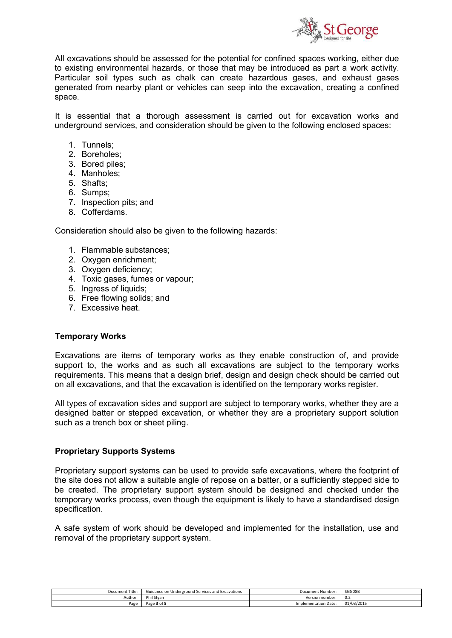

All excavations should be assessed for the potential for confined spaces working, either due to existing environmental hazards, or those that may be introduced as part a work activity. Particular soil types such as chalk can create hazardous gases, and exhaust gases generated from nearby plant or vehicles can seep into the excavation, creating a confined space.

It is essential that a thorough assessment is carried out for excavation works and underground services, and consideration should be given to the following enclosed spaces:

- 1. Tunnels;
- 2. Boreholes;
- 3. Bored piles;
- 4. Manholes;
- 5. Shafts;
- 6. Sumps;
- 7. Inspection pits; and
- 8. Cofferdams.

Consideration should also be given to the following hazards:

- 1. Flammable substances;
- 2. Oxygen enrichment;
- 3. Oxygen deficiency;
- 4. Toxic gases, fumes or vapour;
- 5. Ingress of liquids;
- 6. Free flowing solids; and
- 7. Excessive heat.

#### **Temporary Works**

Excavations are items of temporary works as they enable construction of, and provide support to, the works and as such all excavations are subject to the temporary works requirements. This means that a design brief, design and design check should be carried out on all excavations, and that the excavation is identified on the temporary works register.

All types of excavation sides and support are subject to temporary works, whether they are a designed batter or stepped excavation, or whether they are a proprietary support solution such as a trench box or sheet piling.

#### **Proprietary Supports Systems**

Proprietary support systems can be used to provide safe excavations, where the footprint of the site does not allow a suitable angle of repose on a batter, or a sufficiently stepped side to be created. The proprietary support system should be designed and checked under the temporary works process, even though the equipment is likely to have a standardised design specification.

A safe system of work should be developed and implemented for the installation, use and removal of the proprietary support system.

| Document Title: | Guidance on Underground Services and Excavations | Document Number:            | SGG08B     |
|-----------------|--------------------------------------------------|-----------------------------|------------|
| Author:         | Phil Stvan                                       | Version number:             | v.z        |
| Page            | . of F<br>$D \cap \cap \cap$<br>ass              | <b>Implementation Date:</b> | 01/03/2015 |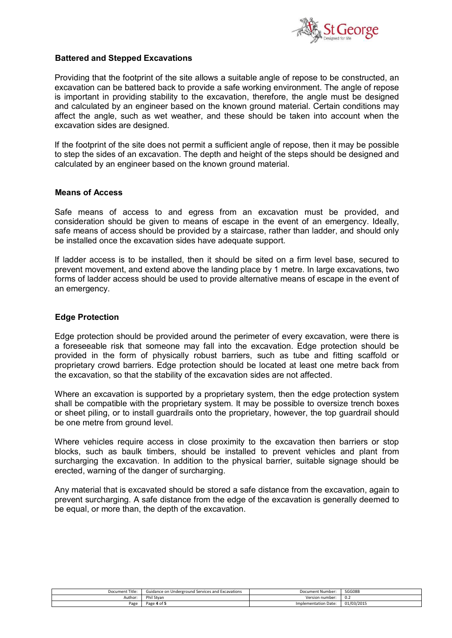

### **Battered and Stepped Excavations**

Providing that the footprint of the site allows a suitable angle of repose to be constructed, an excavation can be battered back to provide a safe working environment. The angle of repose is important in providing stability to the excavation, therefore, the angle must be designed and calculated by an engineer based on the known ground material. Certain conditions may affect the angle, such as wet weather, and these should be taken into account when the excavation sides are designed.

If the footprint of the site does not permit a sufficient angle of repose, then it may be possible to step the sides of an excavation. The depth and height of the steps should be designed and calculated by an engineer based on the known ground material.

#### **Means of Access**

Safe means of access to and egress from an excavation must be provided, and consideration should be given to means of escape in the event of an emergency. Ideally, safe means of access should be provided by a staircase, rather than ladder, and should only be installed once the excavation sides have adequate support.

If ladder access is to be installed, then it should be sited on a firm level base, secured to prevent movement, and extend above the landing place by 1 metre. In large excavations, two forms of ladder access should be used to provide alternative means of escape in the event of an emergency.

### **Edge Protection**

Edge protection should be provided around the perimeter of every excavation, were there is a foreseeable risk that someone may fall into the excavation. Edge protection should be provided in the form of physically robust barriers, such as tube and fitting scaffold or proprietary crowd barriers. Edge protection should be located at least one metre back from the excavation, so that the stability of the excavation sides are not affected.

Where an excavation is supported by a proprietary system, then the edge protection system shall be compatible with the proprietary system. It may be possible to oversize trench boxes or sheet piling, or to install guardrails onto the proprietary, however, the top guardrail should be one metre from ground level.

Where vehicles require access in close proximity to the excavation then barriers or stop blocks, such as baulk timbers, should be installed to prevent vehicles and plant from surcharging the excavation. In addition to the physical barrier, suitable signage should be erected, warning of the danger of surcharging.

Any material that is excavated should be stored a safe distance from the excavation, again to prevent surcharging. A safe distance from the edge of the excavation is generally deemed to be equal, or more than, the depth of the excavation.

| Document Title:     | Guidance on Underground Services and Excavations | Document Number:     | SGG08B          |
|---------------------|--------------------------------------------------|----------------------|-----------------|
| Author <sup>®</sup> | Phil S<br>Stvan                                  | Version number:      | $v.\mathcal{L}$ |
| Page                | Page<br>. 4 of F                                 | Implementation Date: | 01/03/2015      |